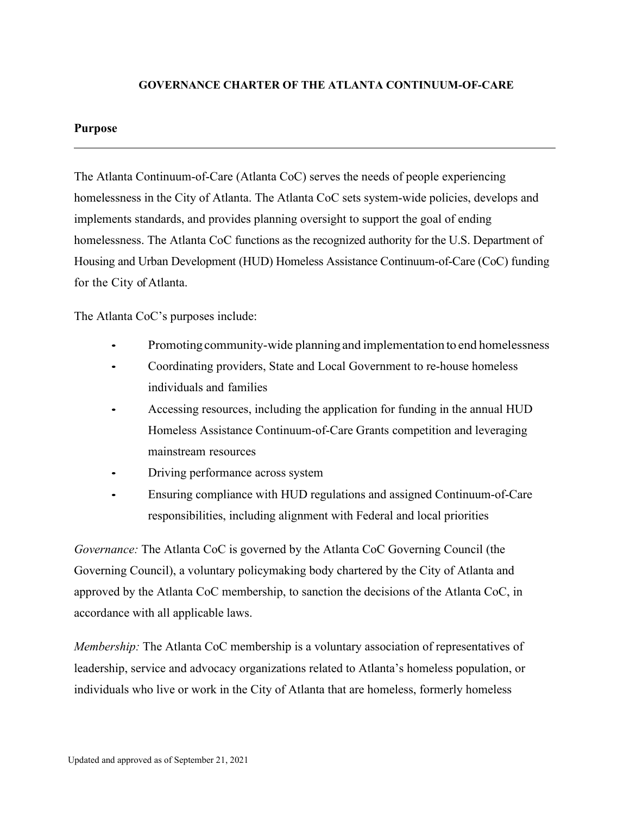## **GOVERNANCE CHARTER OF THE ATLANTA CONTINUUM-OF-CARE**

#### **Purpose**

The Atlanta Continuum-of-Care (Atlanta CoC) serves the needs of people experiencing homelessness in the City of Atlanta. The Atlanta CoC sets system-wide policies, develops and implements standards, and provides planning oversight to support the goal of ending homelessness. The Atlanta CoC functions as the recognized authority for the U.S. Department of Housing and Urban Development (HUD) Homeless Assistance Continuum-of-Care (CoC) funding for the City of Atlanta.

The Atlanta CoC's purposes include:

- Promoting community-wide planning and implementation to end homelessness
- Coordinating providers, State and Local Government to re-house homeless individuals and families
- Accessing resources, including the application for funding in the annual HUD Homeless Assistance Continuum-of-Care Grants competition and leveraging mainstream resources
- Driving performance across system
- Ensuring compliance with HUD regulations and assigned Continuum-of-Care responsibilities, including alignment with Federal and local priorities

*Governance:* The Atlanta CoC is governed by the Atlanta CoC Governing Council (the Governing Council), a voluntary policymaking body chartered by the City of Atlanta and approved by the Atlanta CoC membership, to sanction the decisions of the Atlanta CoC, in accordance with all applicable laws.

*Membership:* The Atlanta CoC membership is a voluntary association of representatives of leadership, service and advocacy organizations related to Atlanta's homeless population, or individuals who live or work in the City of Atlanta that are homeless, formerly homeless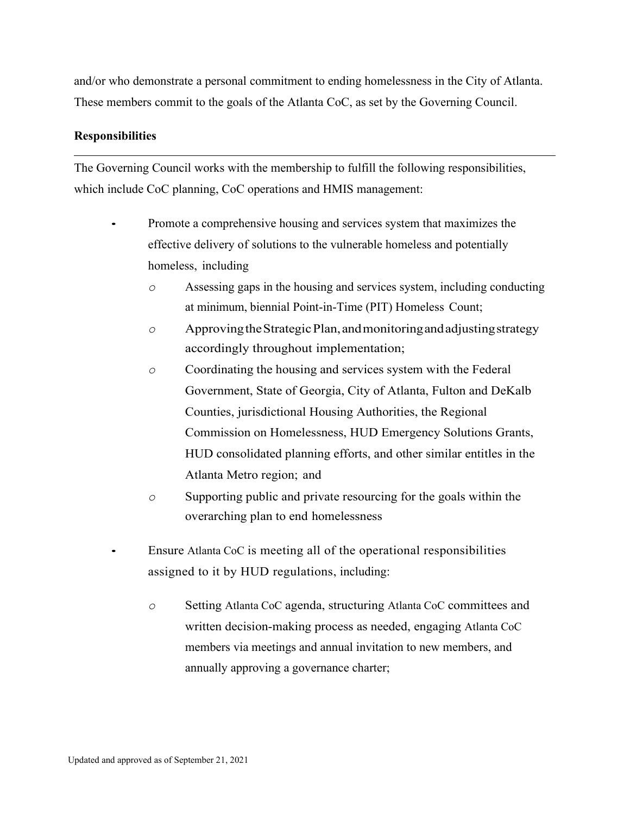and/or who demonstrate a personal commitment to ending homelessness in the City of Atlanta. These members commit to the goals of the Atlanta CoC, as set by the Governing Council.

# **Responsibilities**

The Governing Council works with the membership to fulfill the following responsibilities, which include CoC planning, CoC operations and HMIS management:

- Promote a comprehensive housing and services system that maximizes the effective delivery of solutions to the vulnerable homeless and potentially homeless, including
	- *o* Assessing gaps in the housing and services system, including conducting at minimum, biennial Point-in-Time (PIT) Homeless Count;
	- *o* ApprovingtheStrategicPlan,andmonitoringandadjustingstrategy accordingly throughout implementation;
	- *o* Coordinating the housing and services system with the Federal Government, State of Georgia, City of Atlanta, Fulton and DeKalb Counties, jurisdictional Housing Authorities, the Regional Commission on Homelessness, HUD Emergency Solutions Grants, HUD consolidated planning efforts, and other similar entitles in the Atlanta Metro region; and
	- *o* Supporting public and private resourcing for the goals within the overarching plan to end homelessness
- Ensure Atlanta CoC is meeting all of the operational responsibilities assigned to it by HUD regulations, including:
	- *o* Setting Atlanta CoC agenda, structuring Atlanta CoC committees and written decision-making process as needed, engaging Atlanta CoC members via meetings and annual invitation to new members, and annually approving a governance charter;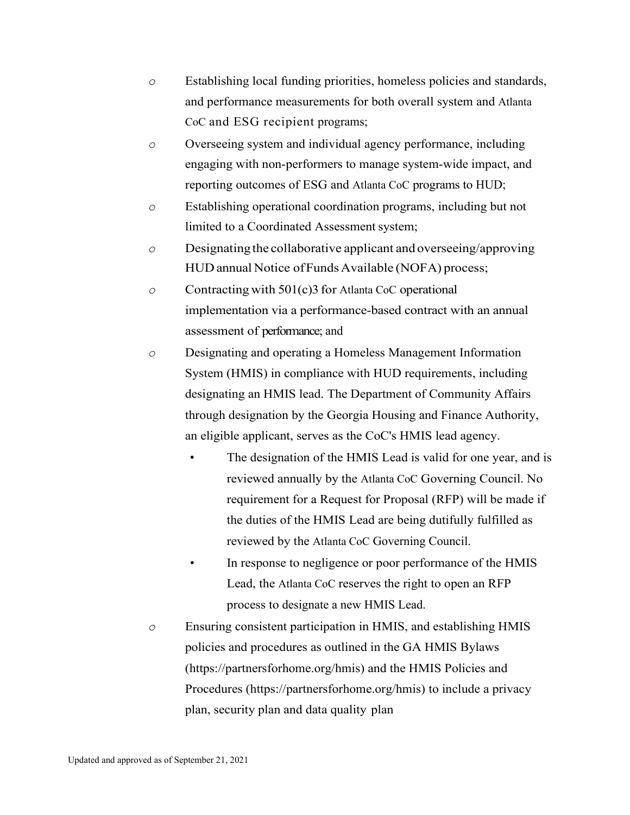- *o* Establishing local funding priorities, homeless policies and standards, and performance measurements for both overall system and Atlanta CoC and ESG recipient programs;
- *o* Overseeing system and individual agency performance, including engaging with non-performers to manage system-wide impact, and reporting outcomes of ESG and Atlanta CoC programs to HUD;
- *o* Establishing operational coordination programs, including but not limited to a Coordinated Assessment system;
- *o* Designatingthe collaborative applicant and overseeing/approving HUD annual Notice of Funds Available (NOFA) process;
- *o* Contracting with 501(c)3 for Atlanta CoC operational implementation via a performance-based contract with an annual assessment of performance; and
- *o* Designating and operating a Homeless Management Information System (HMIS) in compliance with HUD requirements, including designating an HMIS lead. The Department of Community Affairs through designation by the Georgia Housing and Finance Authority, an eligible applicant, serves as the CoC's HMIS lead agency.
	- The designation of the HMIS Lead is valid for one year, and is reviewed annually by the Atlanta CoC Governing Council. No requirement for a Request for Proposal (RFP) will be made if the duties of the HMIS Lead are being dutifully fulfilled as reviewed by the Atlanta CoC Governing Council.
	- In response to negligence or poor performance of the HMIS Lead, the Atlanta CoC reserves the right to open an RFP process to designate a new HMIS Lead.
- *o* Ensuring consistent participation in HMIS, and establishing HMIS policies and procedures as outlined in the GA HMIS Bylaws (https://partnersforhome.org/hmis) and the HMIS Policies and Procedures (https://partnersforhome.org/hmis) to include a privacy plan, security plan and data quality plan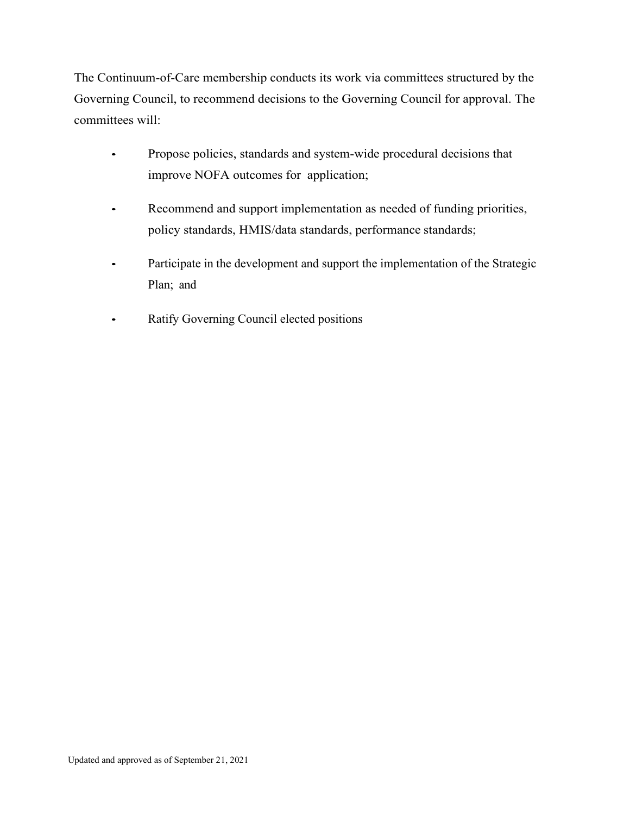The Continuum-of-Care membership conducts its work via committees structured by the Governing Council, to recommend decisions to the Governing Council for approval. The committees will:

- Propose policies, standards and system-wide procedural decisions that improve NOFA outcomes for application;
- Recommend and support implementation as needed of funding priorities, policy standards, HMIS/data standards, performance standards;
- Participate in the development and support the implementation of the Strategic Plan; and
- Ratify Governing Council elected positions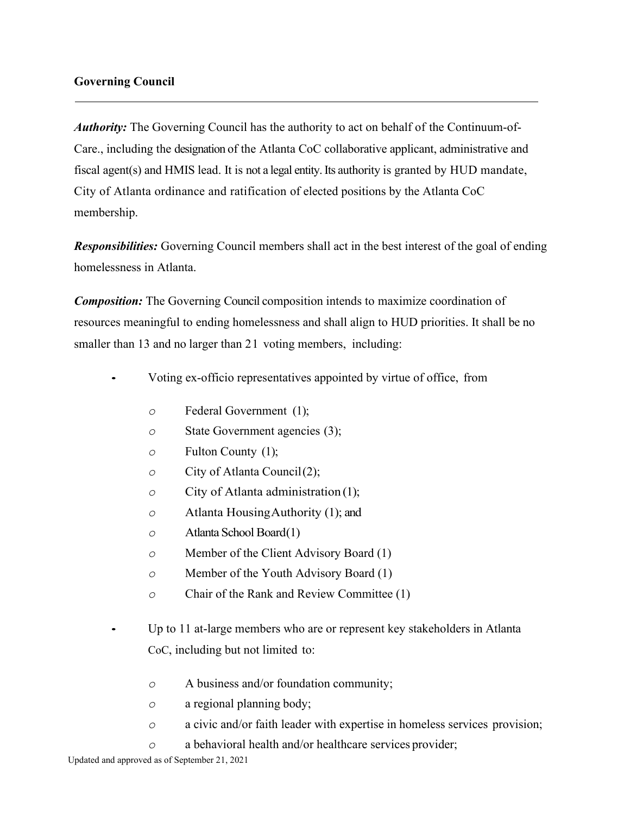# **Governing Council**

*Authority:* The Governing Council has the authority to act on behalf of the Continuum-of-Care., including the designation of the Atlanta CoC collaborative applicant, administrative and fiscal agent(s) and HMIS lead. It is not a legal entity. Its authority is granted by HUD mandate, City of Atlanta ordinance and ratification of elected positions by the Atlanta CoC membership.

*Responsibilities:* Governing Council members shall act in the best interest of the goal of ending homelessness in Atlanta.

*Composition:* The Governing Council composition intends to maximize coordination of resources meaningful to ending homelessness and shall align to HUD priorities. It shall be no smaller than 13 and no larger than 21 voting members, including:

- Voting ex-officio representatives appointed by virtue of office, from
	- *o* Federal Government (1);
	- *o* State Government agencies (3);
	- *o* Fulton County (1);
	- *o* City of Atlanta Council(2);
	- *o* City of Atlanta administration (1);
	- *o* Atlanta HousingAuthority (1); and
	- *o* Atlanta School Board(1)
	- *o* Member of the Client Advisory Board (1)
	- *o* Member of the Youth Advisory Board (1)
	- *o* Chair of the Rank and Review Committee (1)
- Up to 11 at-large members who are or represent key stakeholders in Atlanta CoC, including but not limited to:
	- *o* A business and/or foundation community;
	- *o* a regional planning body;
	- *o* a civic and/or faith leader with expertise in homeless services provision;
	- *o* a behavioral health and/or healthcare services provider;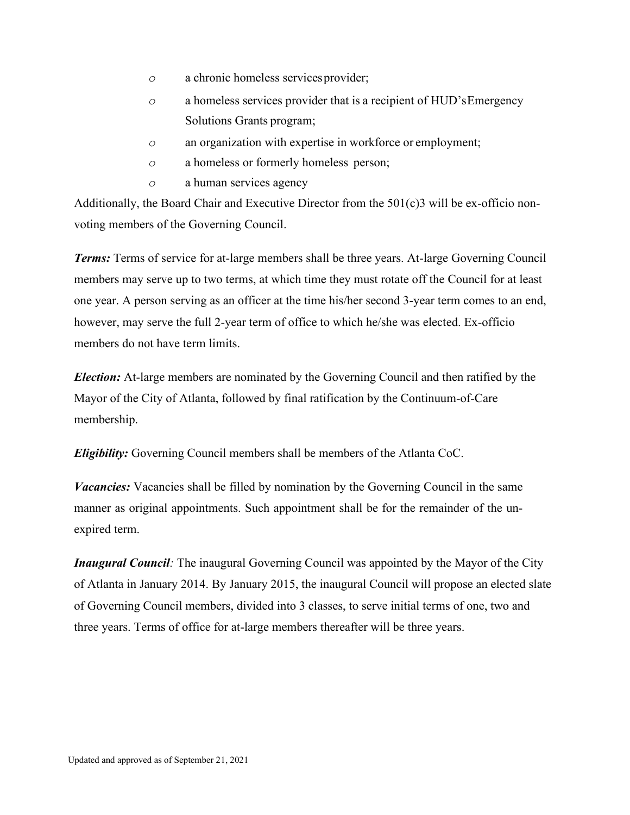- *o* a chronic homeless servicesprovider;
- *o* a homeless services provider that is a recipient of HUD'sEmergency Solutions Grants program;
- *o* an organization with expertise in workforce or employment;
- *o* a homeless or formerly homeless person;
- *o* a human services agency

Additionally, the Board Chair and Executive Director from the 501(c)3 will be ex-officio nonvoting members of the Governing Council.

*Terms:* Terms of service for at-large members shall be three years. At-large Governing Council members may serve up to two terms, at which time they must rotate off the Council for at least one year. A person serving as an officer at the time his/her second 3-year term comes to an end, however, may serve the full 2-year term of office to which he/she was elected. Ex-officio members do not have term limits.

*Election:* At-large members are nominated by the Governing Council and then ratified by the Mayor of the City of Atlanta, followed by final ratification by the Continuum-of-Care membership.

*Eligibility:* Governing Council members shall be members of the Atlanta CoC.

*Vacancies:* Vacancies shall be filled by nomination by the Governing Council in the same manner as original appointments. Such appointment shall be for the remainder of the unexpired term.

*Inaugural Council:* The inaugural Governing Council was appointed by the Mayor of the City of Atlanta in January 2014. By January 2015, the inaugural Council will propose an elected slate of Governing Council members, divided into 3 classes, to serve initial terms of one, two and three years. Terms of office for at-large members thereafter will be three years.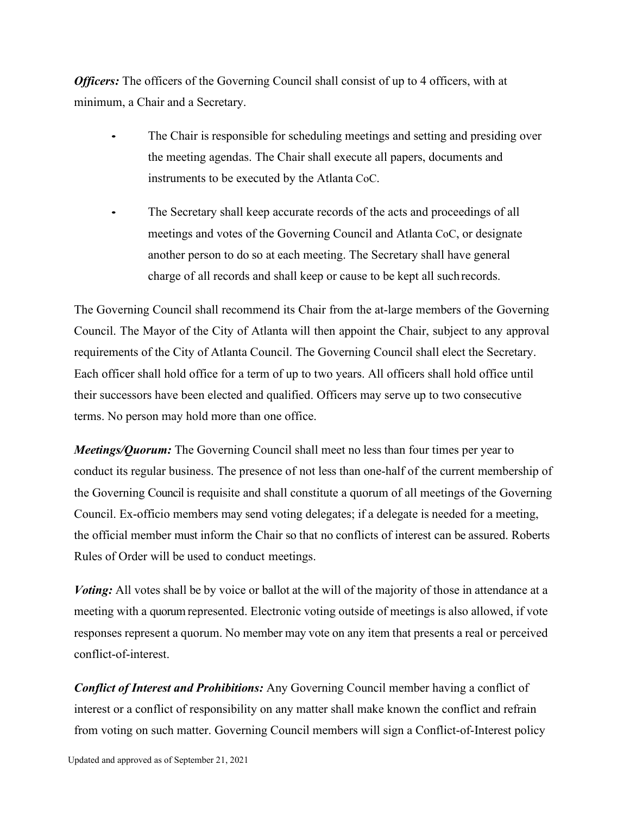*Officers:* The officers of the Governing Council shall consist of up to 4 officers, with at minimum, a Chair and a Secretary.

- The Chair is responsible for scheduling meetings and setting and presiding over the meeting agendas. The Chair shall execute all papers, documents and instruments to be executed by the Atlanta CoC.
- The Secretary shall keep accurate records of the acts and proceedings of all meetings and votes of the Governing Council and Atlanta CoC, or designate another person to do so at each meeting. The Secretary shall have general charge of all records and shall keep or cause to be kept all suchrecords.

The Governing Council shall recommend its Chair from the at-large members of the Governing Council. The Mayor of the City of Atlanta will then appoint the Chair, subject to any approval requirements of the City of Atlanta Council. The Governing Council shall elect the Secretary. Each officer shall hold office for a term of up to two years. All officers shall hold office until their successors have been elected and qualified. Officers may serve up to two consecutive terms. No person may hold more than one office.

*Meetings/Quorum:* The Governing Council shall meet no less than four times per year to conduct its regular business. The presence of not less than one-half of the current membership of the Governing Council is requisite and shall constitute a quorum of all meetings of the Governing Council. Ex-officio members may send voting delegates; if a delegate is needed for a meeting, the official member must inform the Chair so that no conflicts of interest can be assured. Roberts Rules of Order will be used to conduct meetings.

*Voting:* All votes shall be by voice or ballot at the will of the majority of those in attendance at a meeting with a quorum represented. Electronic voting outside of meetings is also allowed, if vote responses represent a quorum. No member may vote on any item that presents a real or perceived conflict-of-interest.

*Conflict of Interest and Prohibitions:* Any Governing Council member having a conflict of interest or a conflict of responsibility on any matter shall make known the conflict and refrain from voting on such matter. Governing Council members will sign a Conflict-of-Interest policy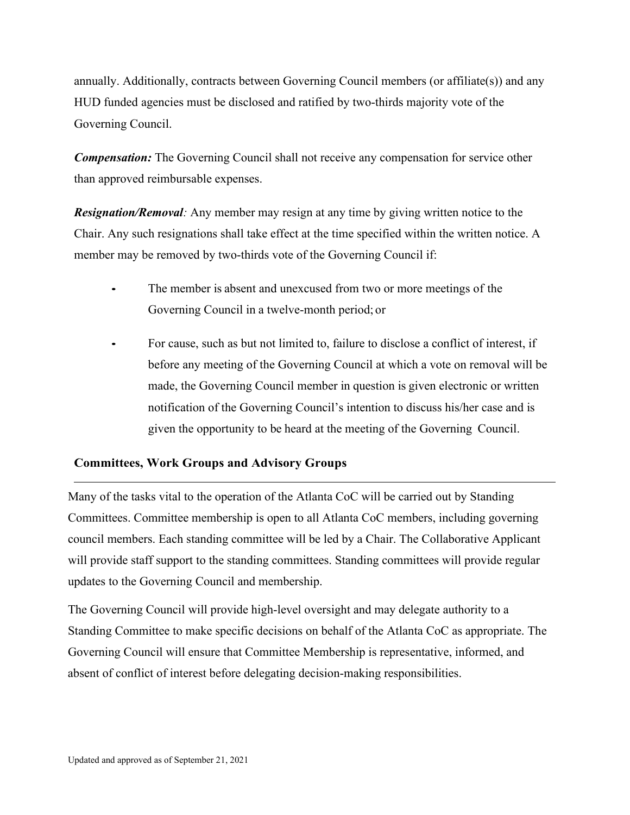annually. Additionally, contracts between Governing Council members (or affiliate(s)) and any HUD funded agencies must be disclosed and ratified by two-thirds majority vote of the Governing Council.

*Compensation:* The Governing Council shall not receive any compensation for service other than approved reimbursable expenses.

*Resignation/Removal:* Any member may resign at any time by giving written notice to the Chair. Any such resignations shall take effect at the time specified within the written notice. A member may be removed by two-thirds vote of the Governing Council if:

- The member is absent and unexcused from two or more meetings of the Governing Council in a twelve-month period; or
- For cause, such as but not limited to, failure to disclose a conflict of interest, if before any meeting of the Governing Council at which a vote on removal will be made, the Governing Council member in question is given electronic or written notification of the Governing Council's intention to discuss his/her case and is given the opportunity to be heard at the meeting of the Governing Council.

# **Committees, Work Groups and Advisory Groups**

Many of the tasks vital to the operation of the Atlanta CoC will be carried out by Standing Committees. Committee membership is open to all Atlanta CoC members, including governing council members. Each standing committee will be led by a Chair. The Collaborative Applicant will provide staff support to the standing committees. Standing committees will provide regular updates to the Governing Council and membership.

The Governing Council will provide high-level oversight and may delegate authority to a Standing Committee to make specific decisions on behalf of the Atlanta CoC as appropriate. The Governing Council will ensure that Committee Membership is representative, informed, and absent of conflict of interest before delegating decision-making responsibilities.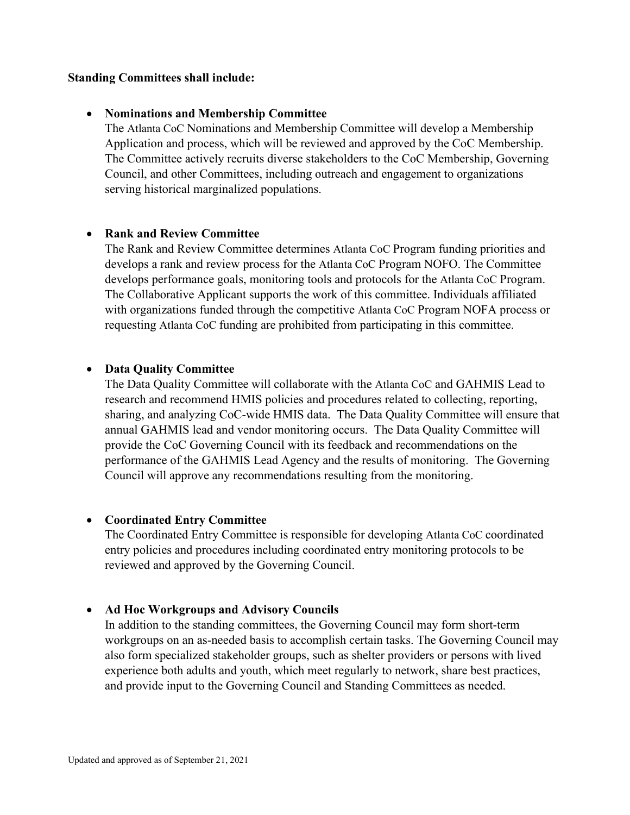## **Standing Committees shall include:**

#### • **Nominations and Membership Committee**

The Atlanta CoC Nominations and Membership Committee will develop a Membership Application and process, which will be reviewed and approved by the CoC Membership. The Committee actively recruits diverse stakeholders to the CoC Membership, Governing Council, and other Committees, including outreach and engagement to organizations serving historical marginalized populations.

#### • **Rank and Review Committee**

The Rank and Review Committee determines Atlanta CoC Program funding priorities and develops a rank and review process for the Atlanta CoC Program NOFO. The Committee develops performance goals, monitoring tools and protocols for the Atlanta CoC Program. The Collaborative Applicant supports the work of this committee. Individuals affiliated with organizations funded through the competitive Atlanta CoC Program NOFA process or requesting Atlanta CoC funding are prohibited from participating in this committee.

#### • **Data Quality Committee**

The Data Quality Committee will collaborate with the Atlanta CoC and GAHMIS Lead to research and recommend HMIS policies and procedures related to collecting, reporting, sharing, and analyzing CoC-wide HMIS data. The Data Quality Committee will ensure that annual GAHMIS lead and vendor monitoring occurs. The Data Quality Committee will provide the CoC Governing Council with its feedback and recommendations on the performance of the GAHMIS Lead Agency and the results of monitoring. The Governing Council will approve any recommendations resulting from the monitoring.

## • **Coordinated Entry Committee**

The Coordinated Entry Committee is responsible for developing Atlanta CoC coordinated entry policies and procedures including coordinated entry monitoring protocols to be reviewed and approved by the Governing Council.

## • **Ad Hoc Workgroups and Advisory Councils**

In addition to the standing committees, the Governing Council may form short-term workgroups on an as-needed basis to accomplish certain tasks. The Governing Council may also form specialized stakeholder groups, such as shelter providers or persons with lived experience both adults and youth, which meet regularly to network, share best practices, and provide input to the Governing Council and Standing Committees as needed.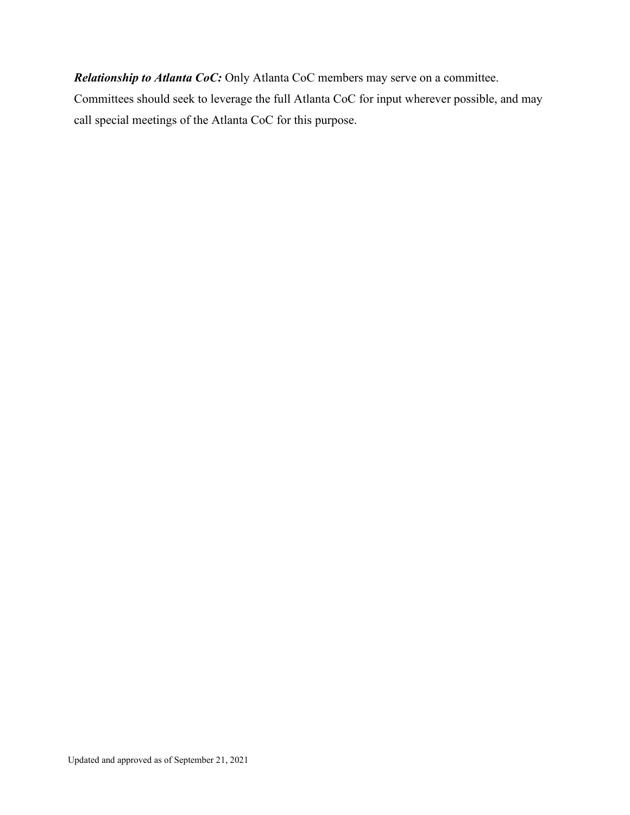*Relationship to Atlanta CoC:* Only Atlanta CoC members may serve on a committee. Committees should seek to leverage the full Atlanta CoC for input wherever possible, and may call special meetings of the Atlanta CoC for this purpose.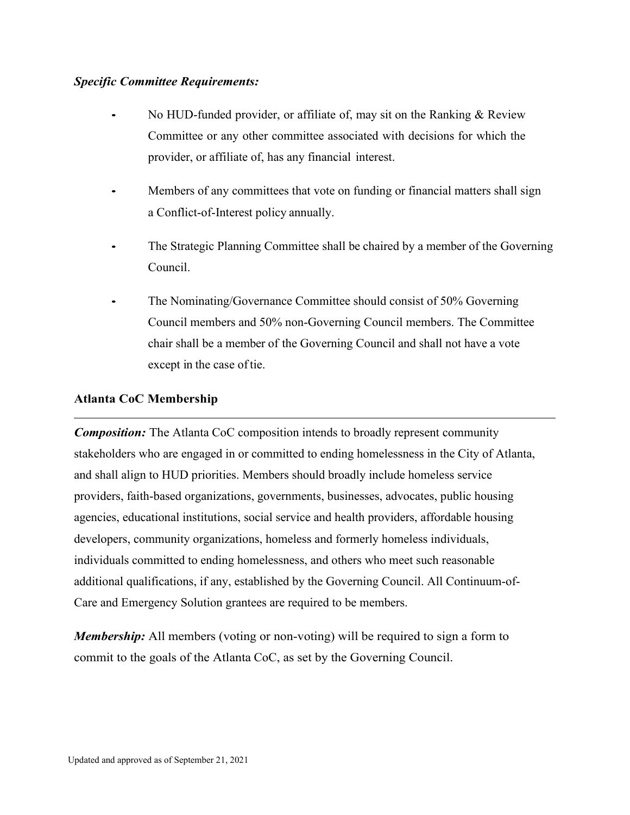## *Specific Committee Requirements:*

- No HUD-funded provider, or affiliate of, may sit on the Ranking & Review Committee or any other committee associated with decisions for which the provider, or affiliate of, has any financial interest.
- Members of any committees that vote on funding or financial matters shall sign a Conflict-of-Interest policy annually.
- The Strategic Planning Committee shall be chaired by a member of the Governing Council.
- The Nominating/Governance Committee should consist of 50% Governing Council members and 50% non-Governing Council members. The Committee chair shall be a member of the Governing Council and shall not have a vote except in the case of tie.

# **Atlanta CoC Membership**

*Composition:* The Atlanta CoC composition intends to broadly represent community stakeholders who are engaged in or committed to ending homelessness in the City of Atlanta, and shall align to HUD priorities. Members should broadly include homeless service providers, faith-based organizations, governments, businesses, advocates, public housing agencies, educational institutions, social service and health providers, affordable housing developers, community organizations, homeless and formerly homeless individuals, individuals committed to ending homelessness, and others who meet such reasonable additional qualifications, if any, established by the Governing Council. All Continuum-of-Care and Emergency Solution grantees are required to be members.

*Membership*: All members (voting or non-voting) will be required to sign a form to commit to the goals of the Atlanta CoC, as set by the Governing Council.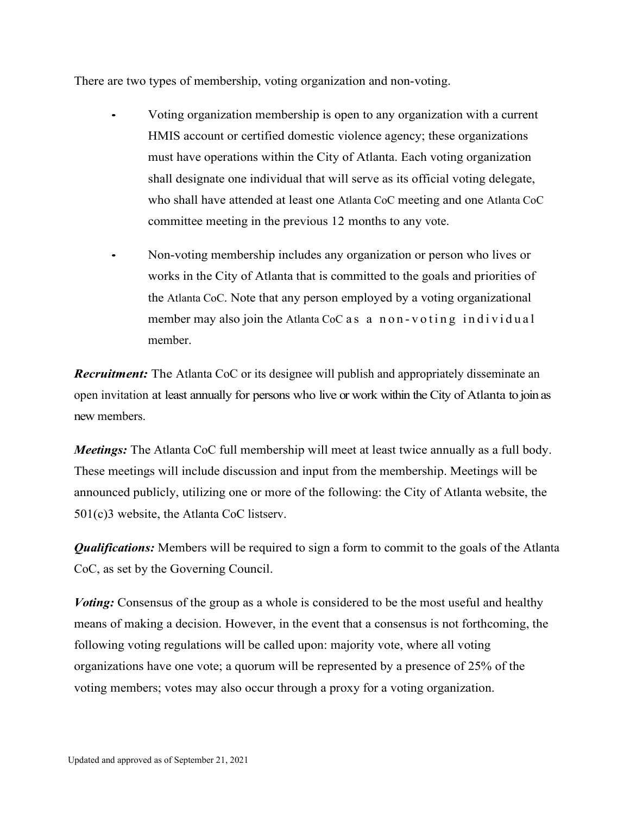There are two types of membership, voting organization and non-voting.

- Voting organization membership is open to any organization with a current HMIS account or certified domestic violence agency; these organizations must have operations within the City of Atlanta. Each voting organization shall designate one individual that will serve as its official voting delegate, who shall have attended at least one Atlanta CoC meeting and one Atlanta CoC committee meeting in the previous 12 months to any vote.
	- Non-voting membership includes any organization or person who lives or works in the City of Atlanta that is committed to the goals and priorities of the Atlanta CoC. Note that any person employed by a voting organizational member may also join the Atlanta CoC as a non-voting individual member.

*Recruitment:* The Atlanta CoC or its designee will publish and appropriately disseminate an open invitation at least annually for persons who live or work within the City of Atlanta to join as new members.

*Meetings:* The Atlanta CoC full membership will meet at least twice annually as a full body. These meetings will include discussion and input from the membership. Meetings will be announced publicly, utilizing one or more of the following: the City of Atlanta website, the 501(c)3 website, the Atlanta CoC listserv.

*Qualifications:* Members will be required to sign a form to commit to the goals of the Atlanta CoC, as set by the Governing Council.

*Voting:* Consensus of the group as a whole is considered to be the most useful and healthy means of making a decision. However, in the event that a consensus is not forthcoming, the following voting regulations will be called upon: majority vote, where all voting organizations have one vote; a quorum will be represented by a presence of 25% of the voting members; votes may also occur through a proxy for a voting organization.